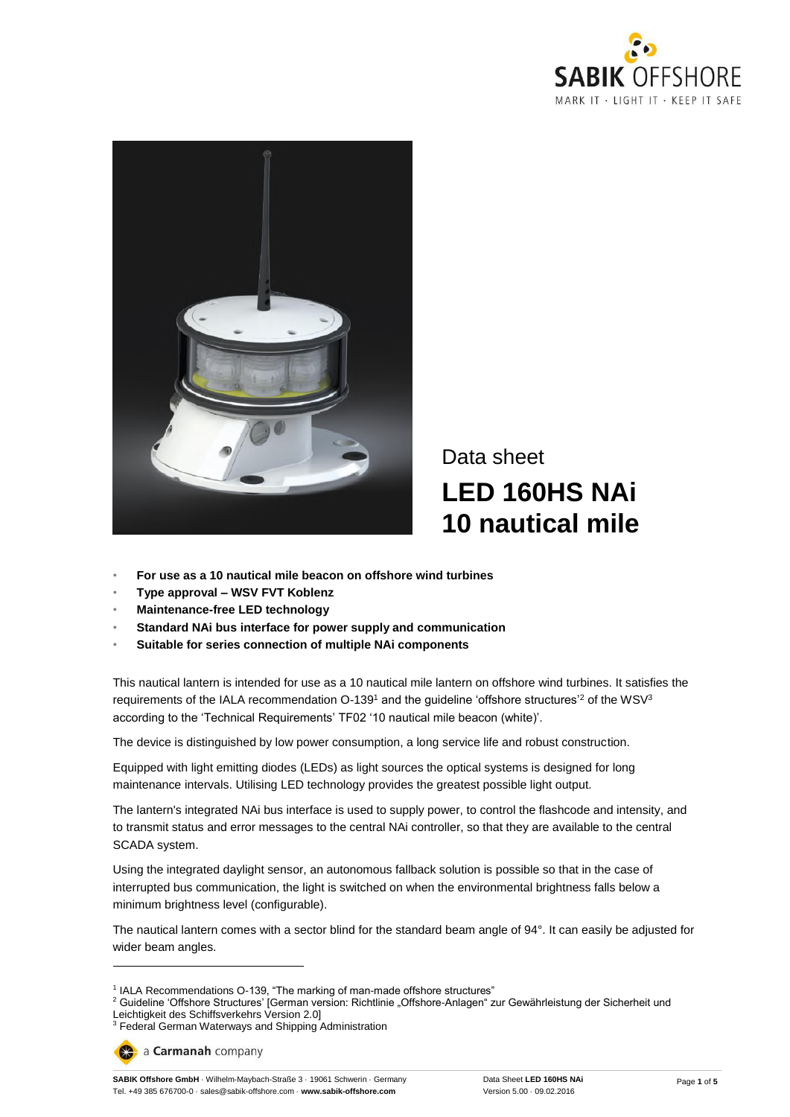



# Data sheet **LED 160HS NAi 10 nautical mile**

- **For use as a 10 nautical mile beacon on offshore wind turbines**
- **Type approval – WSV FVT Koblenz**
- **Maintenance-free LED technology**
- **Standard NAi bus interface for power supply and communication**
- **Suitable for series connection of multiple NAi components**

This nautical lantern is intended for use as a 10 nautical mile lantern on offshore wind turbines. It satisfies the requirements of the IALA recommendation O-139<sup>1</sup> and the guideline 'offshore structures'<sup>2</sup> of the WSV<sup>3</sup> according to the 'Technical Requirements' TF02 '10 nautical mile beacon (white)'.

The device is distinguished by low power consumption, a long service life and robust construction.

Equipped with light emitting diodes (LEDs) as light sources the optical systems is designed for long maintenance intervals. Utilising LED technology provides the greatest possible light output.

The lantern's integrated NAi bus interface is used to supply power, to control the flashcode and intensity, and to transmit status and error messages to the central NAi controller, so that they are available to the central SCADA system.

Using the integrated daylight sensor, an autonomous fallback solution is possible so that in the case of interrupted bus communication, the light is switched on when the environmental brightness falls below a minimum brightness level (configurable).

The nautical lantern comes with a sector blind for the standard beam angle of 94°. It can easily be adjusted for wider beam angles.

 $\overline{a}$ 

<sup>&</sup>lt;sup>1</sup> IALA Recommendations O-139, "The marking of man-made offshore structures"

<sup>&</sup>lt;sup>2</sup> Guideline 'Offshore Structures' [German version: Richtlinie "Offshore-Anlagen" zur Gewährleistung der Sicherheit und Leichtigkeit des Schiffsverkehrs Version 2.0]

<sup>&</sup>lt;sup>3</sup> Federal German Waterways and Shipping Administration

a Carmanah company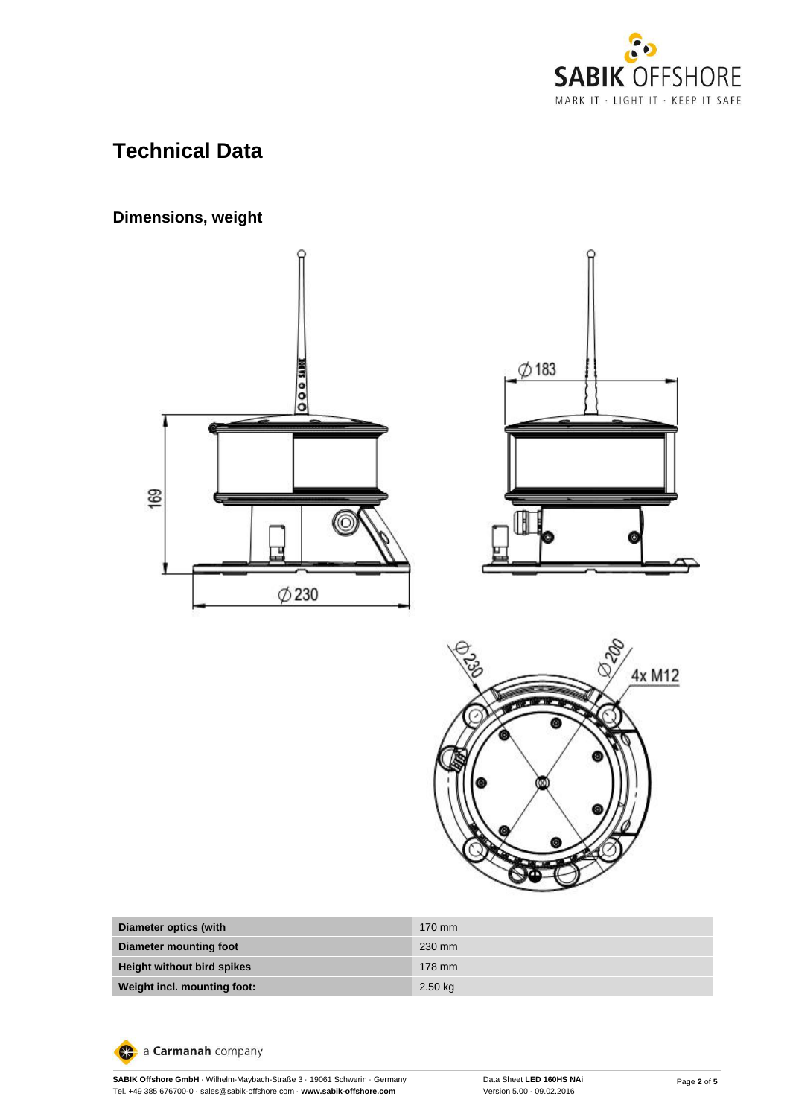

# **Technical Data**

# **Dimensions, weight**







| Diameter optics (with             | $170 \text{ mm}$ |
|-----------------------------------|------------------|
| Diameter mounting foot            | 230 mm           |
| <b>Height without bird spikes</b> | 178 mm           |
| Weight incl. mounting foot:       | $2.50$ kg        |

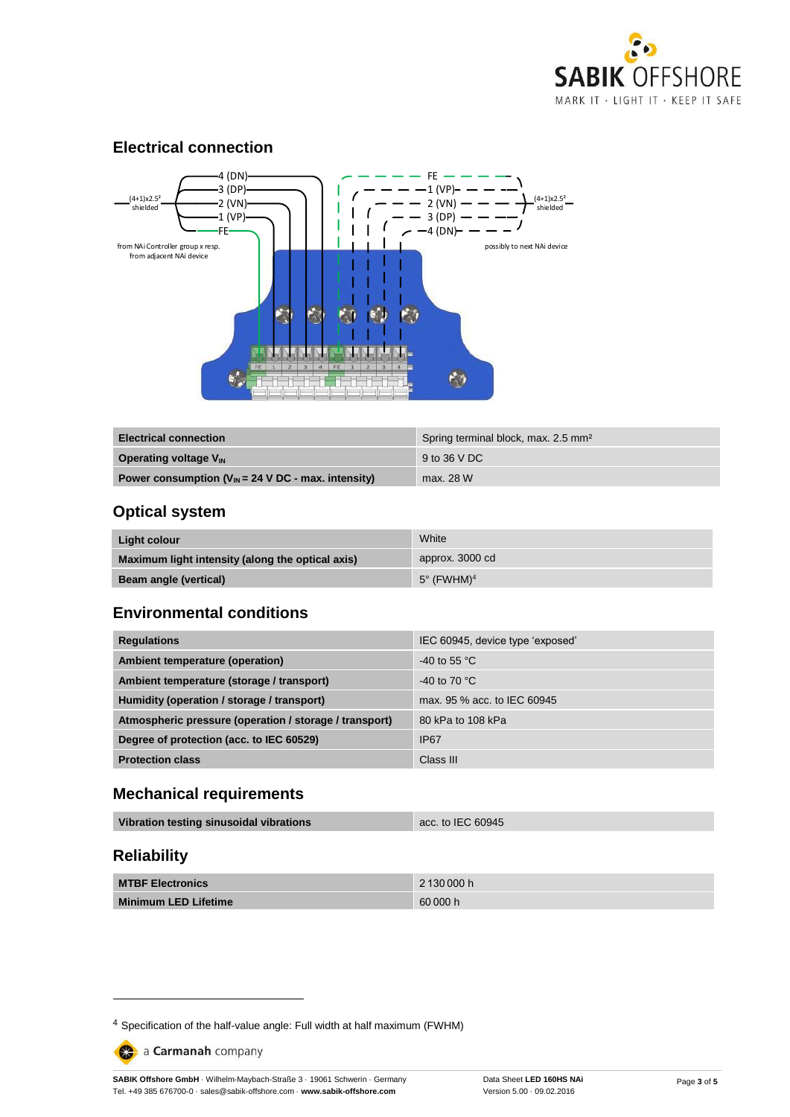

#### **Electrical connection**



| <b>Electrical connection</b>                                    | Spring terminal block, max. 2.5 mm <sup>2</sup> |
|-----------------------------------------------------------------|-------------------------------------------------|
| <b>Operating voltage V<sub>IN</sub></b>                         | 9 to 36 V DC                                    |
| Power consumption $(V_{IN} = 24 \text{ V DC}$ - max. intensity) | max. 28 W                                       |

### **Optical system**

| Light colour                                     | White                         |
|--------------------------------------------------|-------------------------------|
| Maximum light intensity (along the optical axis) | approx. 3000 cd               |
| <b>Beam angle (vertical)</b>                     | $5^\circ$ (FWHM) <sup>4</sup> |

#### **Environmental conditions**

| <b>Regulations</b>                                     | IEC 60945, device type 'exposed' |
|--------------------------------------------------------|----------------------------------|
| Ambient temperature (operation)                        | $-40$ to 55 °C                   |
| Ambient temperature (storage / transport)              | -40 to 70 $^{\circ}$ C           |
| Humidity (operation / storage / transport)             | max, 95 % acc, to IEC 60945      |
| Atmospheric pressure (operation / storage / transport) | 80 kPa to 108 kPa                |
| Degree of protection (acc. to IEC 60529)               | <b>IP67</b>                      |
| <b>Protection class</b>                                | Class III                        |

#### **Mechanical requirements**

| Vibration testing sinusoidal vibrations | acc. to IEC 60945 |
|-----------------------------------------|-------------------|
|                                         |                   |

## **Reliability**

-

| <b>MTBF Electronics</b>     | 2 130 000 h |
|-----------------------------|-------------|
| <b>Minimum LED Lifetime</b> | 60 000 h    |

a Carmanah company

<sup>4</sup> Specification of the half-value angle: Full width at half maximum (FWHM)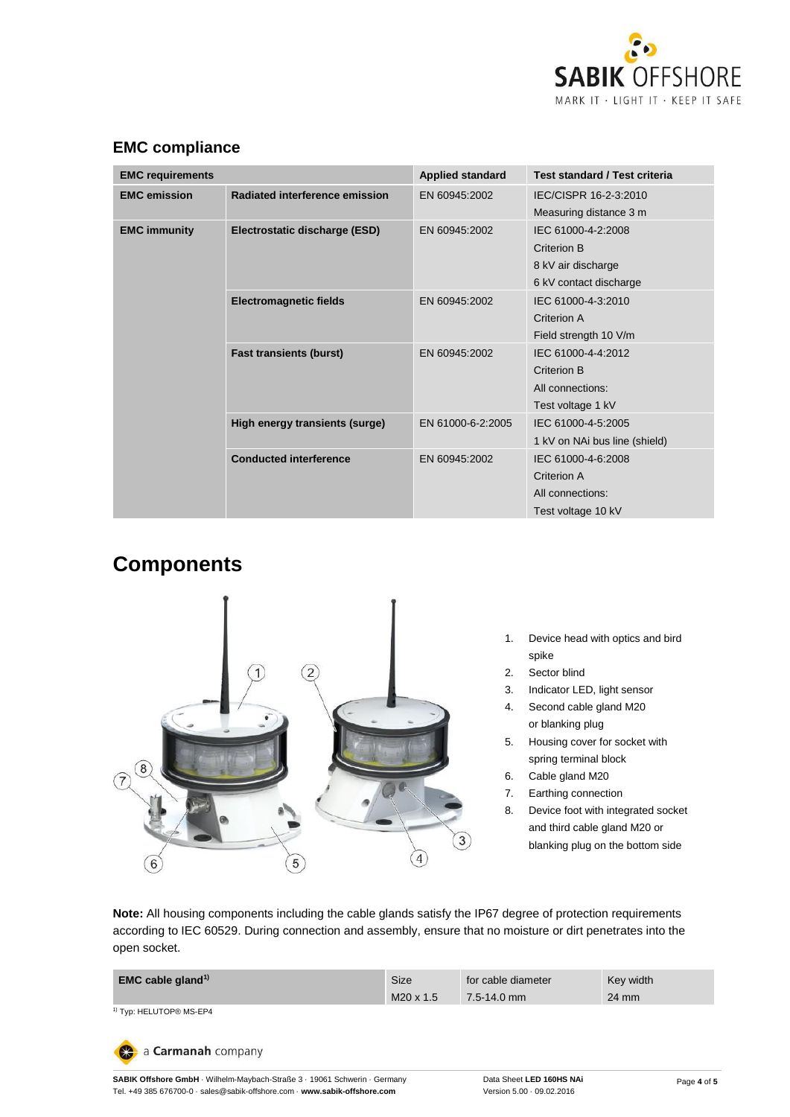

| <b>EMC requirements</b>                                         |                                | <b>Applied standard</b>                                                           | Test standard / Test criteria                                               |
|-----------------------------------------------------------------|--------------------------------|-----------------------------------------------------------------------------------|-----------------------------------------------------------------------------|
| <b>EMC</b> emission                                             | Radiated interference emission | EN 60945:2002                                                                     | IEC/CISPR 16-2-3:2010<br>Measuring distance 3 m                             |
| <b>EMC immunity</b><br>Electrostatic discharge (ESD)            | EN 60945:2002                  | IEC 61000-4-2:2008<br>Criterion B<br>8 kV air discharge<br>6 kV contact discharge |                                                                             |
|                                                                 | <b>Electromagnetic fields</b>  | EN 60945:2002                                                                     | IEC 61000-4-3:2010<br>Criterion A<br>Field strength 10 V/m                  |
| <b>Fast transients (burst)</b><br><b>Conducted interference</b> |                                | EN 60945:2002                                                                     | IEC 61000-4-4:2012<br>Criterion B<br>All connections:<br>Test voltage 1 kV  |
|                                                                 | High energy transients (surge) | EN 61000-6-2:2005                                                                 | IEC 61000-4-5:2005<br>1 kV on NAi bus line (shield)                         |
|                                                                 |                                | EN 60945:2002                                                                     | IEC 61000-4-6:2008<br>Criterion A<br>All connections:<br>Test voltage 10 kV |

## **EMC compliance**

# **Components**



- 1. Device head with optics and bird spike
- 2. Sector blind
- 3. Indicator LED, light sensor
- 4. Second cable gland M20 or blanking plug
- 5. Housing cover for socket with spring terminal block
- 6. Cable gland M20
- 7. Earthing connection
- 8. Device foot with integrated socket and third cable gland M20 or blanking plug on the bottom side

**Note:** All housing components including the cable glands satisfy the IP67 degree of protection requirements according to IEC 60529. During connection and assembly, ensure that no moisture or dirt penetrates into the open socket.

| <b>EMC cable gland</b> <sup>1)</sup> | Size             | for cable diameter             | Key width |
|--------------------------------------|------------------|--------------------------------|-----------|
|                                      | $M20 \times 1.5$ | $\sqrt{7.5 - 14.0 \text{ mm}}$ | 24 mm     |

1) Typ: HELUTOP<sup>®</sup> MS-EP4



**SABIK Offshore GmbH** · Wilhelm-Maybach-Straße 3 · 19061 Schwerin · Germany Tel. +49 385 676700-0 · sales@sabik-offshore.com · **www.sabik-offshore.com**